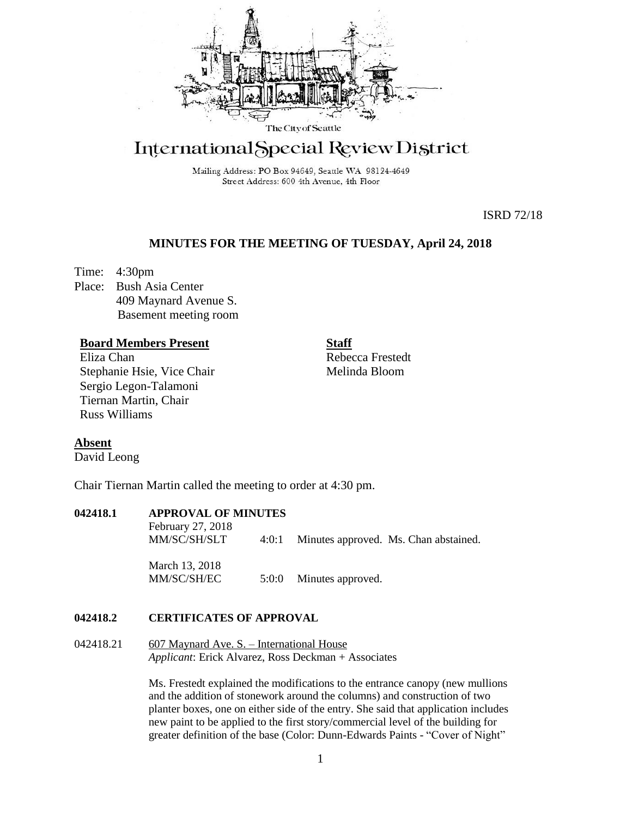

# International Special Review District

Mailing Address: PO Box 94649, Seattle WA 98124-4649 Street Address: 600 4th Avenue, 4th Floor

ISRD 72/18

# **MINUTES FOR THE MEETING OF TUESDAY, April 24, 2018**

Time: 4:30pm Place: Bush Asia Center 409 Maynard Avenue S. Basement meeting room

## **Board Members Present**

Eliza Chan Stephanie Hsie, Vice Chair Sergio Legon-Talamoni Tiernan Martin, Chair Russ Williams

Rebecca Frestedt Melinda Bloom

**Staff**

# **Absent**

David Leong

Chair Tiernan Martin called the meeting to order at 4:30 pm.

# **042418.1 APPROVAL OF MINUTES**

February 27, 2018 MM/SC/SH/SLT 4:0:1 Minutes approved. Ms. Chan abstained. March 13, 2018 MM/SC/SH/EC 5:0:0 Minutes approved.

## **042418.2 CERTIFICATES OF APPROVAL**

## 042418.21 607 Maynard Ave. S. – International House *Applicant*: Erick Alvarez, Ross Deckman + Associates

Ms. Frestedt explained the modifications to the entrance canopy (new mullions and the addition of stonework around the columns) and construction of two planter boxes, one on either side of the entry. She said that application includes new paint to be applied to the first story/commercial level of the building for greater definition of the base (Color: Dunn-Edwards Paints - "Cover of Night"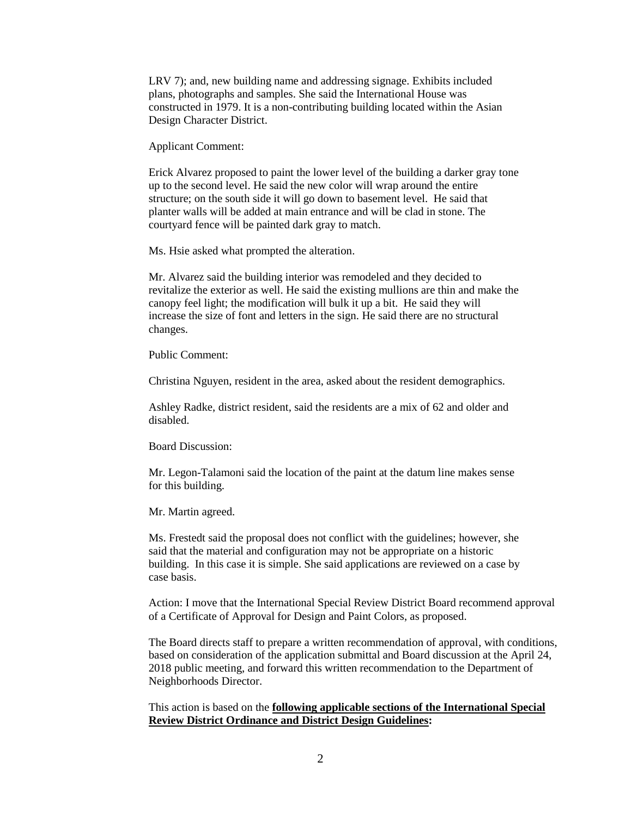LRV 7); and, new building name and addressing signage. Exhibits included plans, photographs and samples. She said the International House was constructed in 1979. It is a non-contributing building located within the Asian Design Character District.

Applicant Comment:

Erick Alvarez proposed to paint the lower level of the building a darker gray tone up to the second level. He said the new color will wrap around the entire structure; on the south side it will go down to basement level. He said that planter walls will be added at main entrance and will be clad in stone. The courtyard fence will be painted dark gray to match.

Ms. Hsie asked what prompted the alteration.

Mr. Alvarez said the building interior was remodeled and they decided to revitalize the exterior as well. He said the existing mullions are thin and make the canopy feel light; the modification will bulk it up a bit. He said they will increase the size of font and letters in the sign. He said there are no structural changes.

Public Comment:

Christina Nguyen, resident in the area, asked about the resident demographics.

Ashley Radke, district resident, said the residents are a mix of 62 and older and disabled.

Board Discussion:

Mr. Legon-Talamoni said the location of the paint at the datum line makes sense for this building.

Mr. Martin agreed.

Ms. Frestedt said the proposal does not conflict with the guidelines; however, she said that the material and configuration may not be appropriate on a historic building. In this case it is simple. She said applications are reviewed on a case by case basis.

Action: I move that the International Special Review District Board recommend approval of a Certificate of Approval for Design and Paint Colors, as proposed.

The Board directs staff to prepare a written recommendation of approval, with conditions, based on consideration of the application submittal and Board discussion at the April 24, 2018 public meeting, and forward this written recommendation to the Department of Neighborhoods Director.

This action is based on the **following applicable sections of the International Special Review District Ordinance and District Design Guidelines:**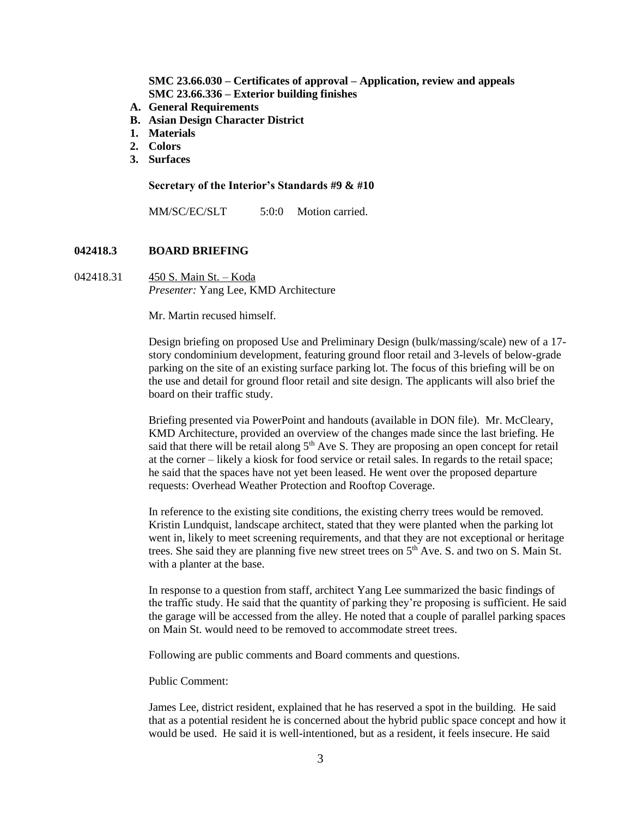**SMC 23.66.030 – Certificates of approval – Application, review and appeals SMC 23.66.336 – Exterior building finishes**

- **A. General Requirements**
- **B. Asian Design Character District**
- **1. Materials**
- **2. Colors**
- **3. Surfaces**

#### **Secretary of the Interior's Standards #9 & #10**

MM/SC/EC/SLT 5:0:0 Motion carried.

### **042418.3 BOARD BRIEFING**

042418.31 450 S. Main St. – Koda *Presenter:* Yang Lee, KMD Architecture

Mr. Martin recused himself.

Design briefing on proposed Use and Preliminary Design (bulk/massing/scale) new of a 17 story condominium development, featuring ground floor retail and 3-levels of below-grade parking on the site of an existing surface parking lot. The focus of this briefing will be on the use and detail for ground floor retail and site design. The applicants will also brief the board on their traffic study.

Briefing presented via PowerPoint and handouts (available in DON file). Mr. McCleary, KMD Architecture, provided an overview of the changes made since the last briefing. He said that there will be retail along  $5<sup>th</sup>$  Ave S. They are proposing an open concept for retail at the corner – likely a kiosk for food service or retail sales. In regards to the retail space; he said that the spaces have not yet been leased. He went over the proposed departure requests: Overhead Weather Protection and Rooftop Coverage.

In reference to the existing site conditions, the existing cherry trees would be removed. Kristin Lundquist, landscape architect, stated that they were planted when the parking lot went in, likely to meet screening requirements, and that they are not exceptional or heritage trees. She said they are planning five new street trees on  $5<sup>th</sup>$  Ave. S. and two on S. Main St. with a planter at the base.

In response to a question from staff, architect Yang Lee summarized the basic findings of the traffic study. He said that the quantity of parking they're proposing is sufficient. He said the garage will be accessed from the alley. He noted that a couple of parallel parking spaces on Main St. would need to be removed to accommodate street trees.

Following are public comments and Board comments and questions.

Public Comment:

James Lee, district resident, explained that he has reserved a spot in the building. He said that as a potential resident he is concerned about the hybrid public space concept and how it would be used. He said it is well-intentioned, but as a resident, it feels insecure. He said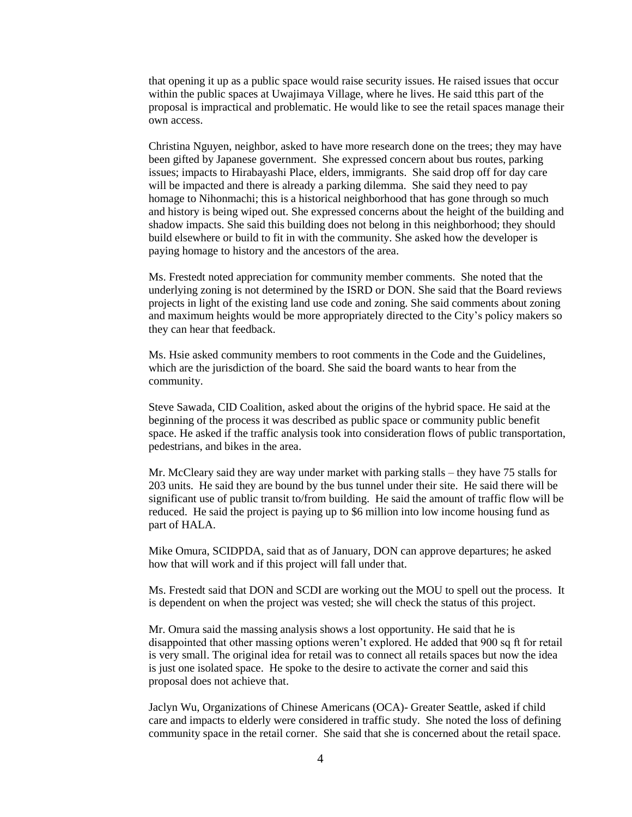that opening it up as a public space would raise security issues. He raised issues that occur within the public spaces at Uwajimaya Village, where he lives. He said tthis part of the proposal is impractical and problematic. He would like to see the retail spaces manage their own access.

Christina Nguyen, neighbor, asked to have more research done on the trees; they may have been gifted by Japanese government. She expressed concern about bus routes, parking issues; impacts to Hirabayashi Place, elders, immigrants. She said drop off for day care will be impacted and there is already a parking dilemma. She said they need to pay homage to Nihonmachi; this is a historical neighborhood that has gone through so much and history is being wiped out. She expressed concerns about the height of the building and shadow impacts. She said this building does not belong in this neighborhood; they should build elsewhere or build to fit in with the community. She asked how the developer is paying homage to history and the ancestors of the area.

Ms. Frestedt noted appreciation for community member comments. She noted that the underlying zoning is not determined by the ISRD or DON. She said that the Board reviews projects in light of the existing land use code and zoning. She said comments about zoning and maximum heights would be more appropriately directed to the City's policy makers so they can hear that feedback.

Ms. Hsie asked community members to root comments in the Code and the Guidelines, which are the jurisdiction of the board. She said the board wants to hear from the community.

Steve Sawada, CID Coalition, asked about the origins of the hybrid space. He said at the beginning of the process it was described as public space or community public benefit space. He asked if the traffic analysis took into consideration flows of public transportation, pedestrians, and bikes in the area.

Mr. McCleary said they are way under market with parking stalls – they have 75 stalls for 203 units. He said they are bound by the bus tunnel under their site. He said there will be significant use of public transit to/from building. He said the amount of traffic flow will be reduced. He said the project is paying up to \$6 million into low income housing fund as part of HALA.

Mike Omura, SCIDPDA, said that as of January, DON can approve departures; he asked how that will work and if this project will fall under that.

Ms. Frestedt said that DON and SCDI are working out the MOU to spell out the process. It is dependent on when the project was vested; she will check the status of this project.

Mr. Omura said the massing analysis shows a lost opportunity. He said that he is disappointed that other massing options weren't explored. He added that 900 sq ft for retail is very small. The original idea for retail was to connect all retails spaces but now the idea is just one isolated space. He spoke to the desire to activate the corner and said this proposal does not achieve that.

Jaclyn Wu, Organizations of Chinese Americans (OCA)- Greater Seattle, asked if child care and impacts to elderly were considered in traffic study. She noted the loss of defining community space in the retail corner. She said that she is concerned about the retail space.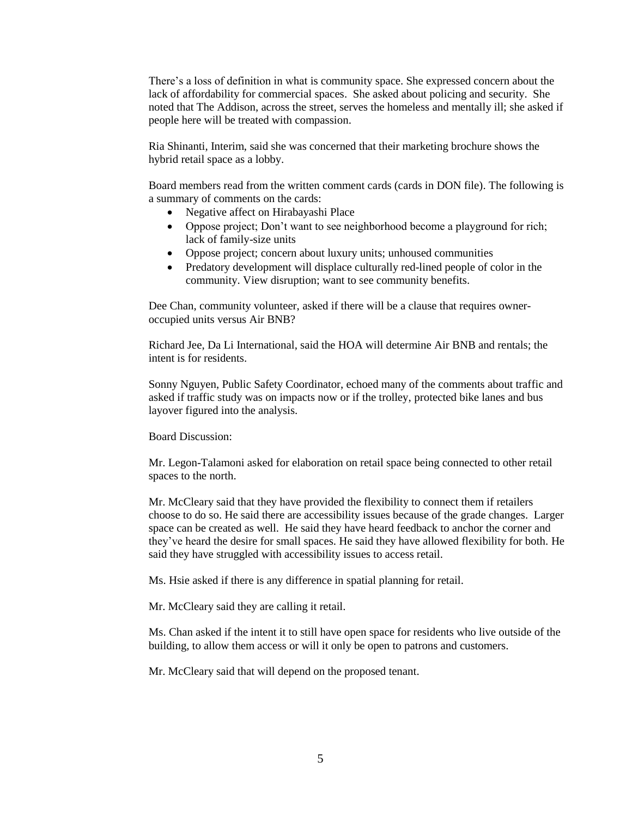There's a loss of definition in what is community space. She expressed concern about the lack of affordability for commercial spaces. She asked about policing and security. She noted that The Addison, across the street, serves the homeless and mentally ill; she asked if people here will be treated with compassion.

Ria Shinanti, Interim, said she was concerned that their marketing brochure shows the hybrid retail space as a lobby.

Board members read from the written comment cards (cards in DON file). The following is a summary of comments on the cards:

- Negative affect on Hirabayashi Place
- Oppose project; Don't want to see neighborhood become a playground for rich; lack of family-size units
- Oppose project; concern about luxury units; unhoused communities
- Predatory development will displace culturally red-lined people of color in the community. View disruption; want to see community benefits.

Dee Chan, community volunteer, asked if there will be a clause that requires owneroccupied units versus Air BNB?

Richard Jee, Da Li International, said the HOA will determine Air BNB and rentals; the intent is for residents.

Sonny Nguyen, Public Safety Coordinator, echoed many of the comments about traffic and asked if traffic study was on impacts now or if the trolley, protected bike lanes and bus layover figured into the analysis.

Board Discussion:

Mr. Legon-Talamoni asked for elaboration on retail space being connected to other retail spaces to the north.

Mr. McCleary said that they have provided the flexibility to connect them if retailers choose to do so. He said there are accessibility issues because of the grade changes. Larger space can be created as well. He said they have heard feedback to anchor the corner and they've heard the desire for small spaces. He said they have allowed flexibility for both. He said they have struggled with accessibility issues to access retail.

Ms. Hsie asked if there is any difference in spatial planning for retail.

Mr. McCleary said they are calling it retail.

Ms. Chan asked if the intent it to still have open space for residents who live outside of the building, to allow them access or will it only be open to patrons and customers.

Mr. McCleary said that will depend on the proposed tenant.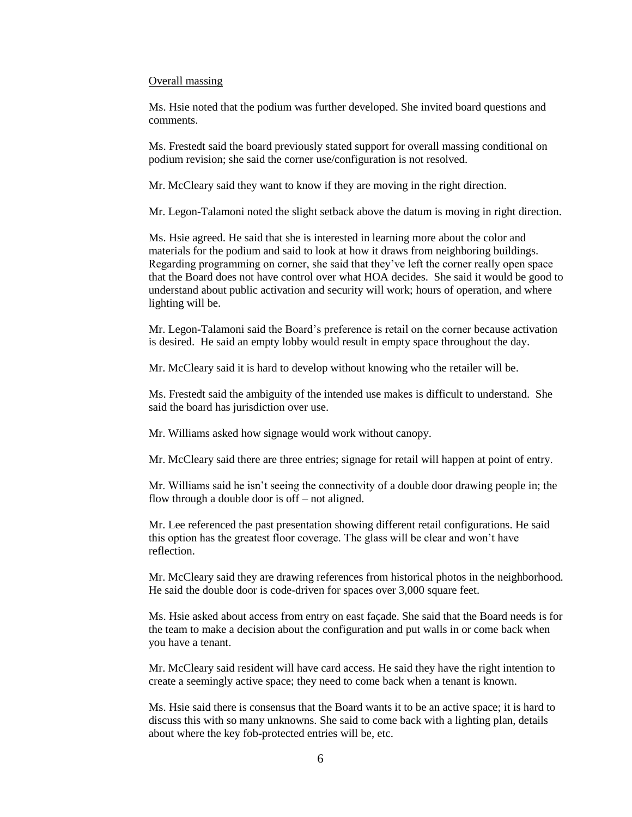#### Overall massing

Ms. Hsie noted that the podium was further developed. She invited board questions and comments.

Ms. Frestedt said the board previously stated support for overall massing conditional on podium revision; she said the corner use/configuration is not resolved.

Mr. McCleary said they want to know if they are moving in the right direction.

Mr. Legon-Talamoni noted the slight setback above the datum is moving in right direction.

Ms. Hsie agreed. He said that she is interested in learning more about the color and materials for the podium and said to look at how it draws from neighboring buildings. Regarding programming on corner, she said that they've left the corner really open space that the Board does not have control over what HOA decides. She said it would be good to understand about public activation and security will work; hours of operation, and where lighting will be.

Mr. Legon-Talamoni said the Board's preference is retail on the corner because activation is desired. He said an empty lobby would result in empty space throughout the day.

Mr. McCleary said it is hard to develop without knowing who the retailer will be.

Ms. Frestedt said the ambiguity of the intended use makes is difficult to understand. She said the board has jurisdiction over use.

Mr. Williams asked how signage would work without canopy.

Mr. McCleary said there are three entries; signage for retail will happen at point of entry.

Mr. Williams said he isn't seeing the connectivity of a double door drawing people in; the flow through a double door is off – not aligned.

Mr. Lee referenced the past presentation showing different retail configurations. He said this option has the greatest floor coverage. The glass will be clear and won't have reflection.

Mr. McCleary said they are drawing references from historical photos in the neighborhood. He said the double door is code-driven for spaces over 3,000 square feet.

Ms. Hsie asked about access from entry on east façade. She said that the Board needs is for the team to make a decision about the configuration and put walls in or come back when you have a tenant.

Mr. McCleary said resident will have card access. He said they have the right intention to create a seemingly active space; they need to come back when a tenant is known.

Ms. Hsie said there is consensus that the Board wants it to be an active space; it is hard to discuss this with so many unknowns. She said to come back with a lighting plan, details about where the key fob-protected entries will be, etc.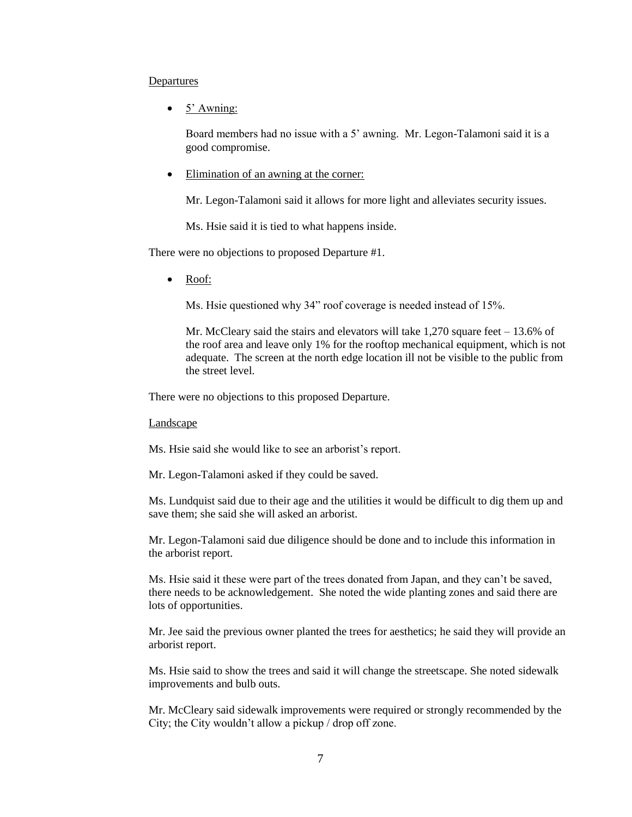### Departures

• 5' Awning:

Board members had no issue with a 5' awning. Mr. Legon-Talamoni said it is a good compromise.

Elimination of an awning at the corner:

Mr. Legon-Talamoni said it allows for more light and alleviates security issues.

Ms. Hsie said it is tied to what happens inside.

There were no objections to proposed Departure #1.

• Roof:

Ms. Hsie questioned why 34" roof coverage is needed instead of 15%.

Mr. McCleary said the stairs and elevators will take  $1,270$  square feet  $-13.6\%$  of the roof area and leave only 1% for the rooftop mechanical equipment, which is not adequate. The screen at the north edge location ill not be visible to the public from the street level.

There were no objections to this proposed Departure.

Landscape

Ms. Hsie said she would like to see an arborist's report.

Mr. Legon-Talamoni asked if they could be saved.

Ms. Lundquist said due to their age and the utilities it would be difficult to dig them up and save them; she said she will asked an arborist.

Mr. Legon-Talamoni said due diligence should be done and to include this information in the arborist report.

Ms. Hsie said it these were part of the trees donated from Japan, and they can't be saved, there needs to be acknowledgement. She noted the wide planting zones and said there are lots of opportunities.

Mr. Jee said the previous owner planted the trees for aesthetics; he said they will provide an arborist report.

Ms. Hsie said to show the trees and said it will change the streetscape. She noted sidewalk improvements and bulb outs.

Mr. McCleary said sidewalk improvements were required or strongly recommended by the City; the City wouldn't allow a pickup / drop off zone.